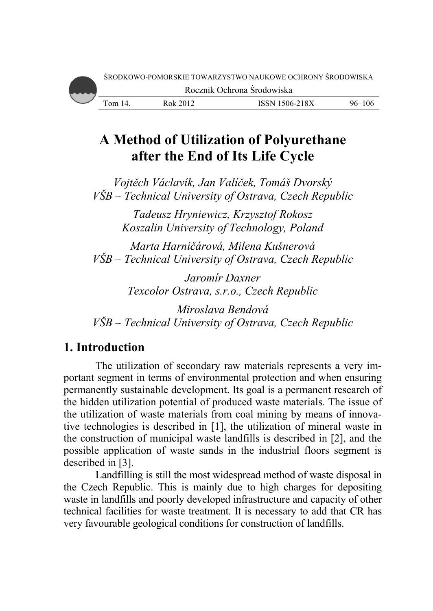# A Method of Utilization of Polyurethane after the End of Its Life Cycle

Vojtěch Václavík, Jan Valíček, Tomáš Dvorský VŠB – Technical University of Ostrava, Czech Republic

> Tadeusz Hryniewicz, Krzysztof Rokosz Koszalin University of Technology, Poland

Marta Harničárová, Milena Kušnerová VŠB – Technical University of Ostrava, Czech Republic

> Jaromír Daxner Texcolor Ostrava, s.r.o., Czech Republic

Miroslava Bendová VŠB – Technical University of Ostrava, Czech Republic

# 1. Introduction

The utilization of secondary raw materials represents a very important segment in terms of environmental protection and when ensuring permanently sustainable development. Its goal is a permanent research of the hidden utilization potential of produced waste materials. The issue of the utilization of waste materials from coal mining by means of innovative technologies is described in [1], the utilization of mineral waste in the construction of municipal waste landfills is described in [2], and the possible application of waste sands in the industrial floors segment is described in  $[3]$ .

Landfilling is still the most widespread method of waste disposal in the Czech Republic. This is mainly due to high charges for depositing waste in landfills and poorly developed infrastructure and capacity of other technical facilities for waste treatment. It is necessary to add that CR has very favourable geological conditions for construction of landfills.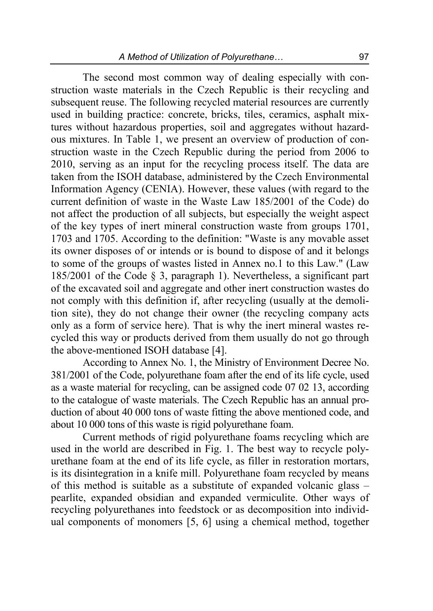The second most common way of dealing especially with construction waste materials in the Czech Republic is their recycling and subsequent reuse. The following recycled material resources are currently used in building practice: concrete, bricks, tiles, ceramics, asphalt mixtures without hazardous properties, soil and aggregates without hazardous mixtures. In Table 1, we present an overview of production of construction waste in the Czech Republic during the period from 2006 to 2010, serving as an input for the recycling process itself. The data are taken from the ISOH database, administered by the Czech Environmental Information Agency (CENIA). However, these values (with regard to the current definition of waste in the Waste Law 185/2001 of the Code) do not affect the production of all subjects, but especially the weight aspect of the key types of inert mineral construction waste from groups 1701, 1703 and 1705. According to the definition: "Waste is any movable asset its owner disposes of or intends or is bound to dispose of and it belongs to some of the groups of wastes listed in Annex no.1 to this Law." (Law 185/2001 of the Code § 3, paragraph 1). Nevertheless, a significant part of the excavated soil and aggregate and other inert construction wastes do not comply with this definition if, after recycling (usually at the demolition site), they do not change their owner (the recycling company acts only as a form of service here). That is why the inert mineral wastes recycled this way or products derived from them usually do not go through the above-mentioned ISOH database [4].

According to Annex No. 1, the Ministry of Environment Decree No. 381/2001 of the Code, polyurethane foam after the end of its life cycle, used as a waste material for recycling, can be assigned code 07 02 13, according to the catalogue of waste materials. The Czech Republic has an annual production of about 40 000 tons of waste fitting the above mentioned code, and about 10 000 tons of this waste is rigid polyurethane foam.

Current methods of rigid polyurethane foams recycling which are used in the world are described in Fig. 1. The best way to recycle polyurethane foam at the end of its life cycle, as filler in restoration mortars, is its disintegration in a knife mill. Polyurethane foam recycled by means of this method is suitable as a substitute of expanded volcanic glass – pearlite, expanded obsidian and expanded vermiculite. Other ways of recycling polyurethanes into feedstock or as decomposition into individual components of monomers [5, 6] using a chemical method, together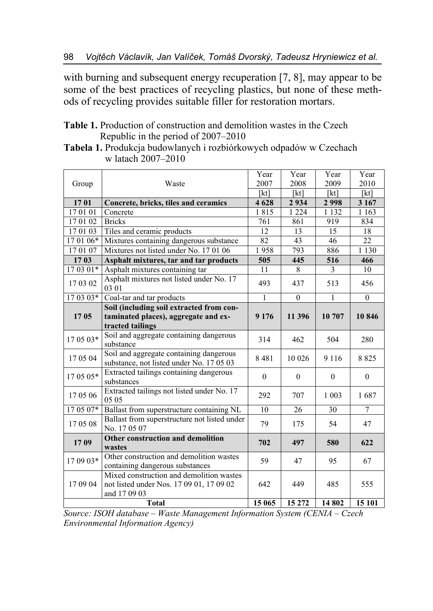with burning and subsequent energy recuperation [7, 8], may appear to be some of the best practices of recycling plastics, but none of these methods of recycling provides suitable filler for restoration mortars.

**Table 1.** Production of construction and demolition wastes in the Czech Republic in the period of 2007–2010

| Tabela 1. Produkcja budowlanych i rozbiórkowych odpadów w Czechach |  |
|--------------------------------------------------------------------|--|
| w latach 2007–2010                                                 |  |

|           |                                                                                                      | Year         | Year     | Year     | Year         |  |
|-----------|------------------------------------------------------------------------------------------------------|--------------|----------|----------|--------------|--|
| Group     | Waste                                                                                                | 2007         | 2008     | 2009     | 2010         |  |
|           |                                                                                                      | [kt]         | [kt]     | [kt]     | [kt]         |  |
| 1701      | Concrete, bricks, tiles and ceramics                                                                 | 4 6 28       | 2934     | 2998     | 3 1 6 7      |  |
| 170101    | Concrete                                                                                             | 1815         | 1 2 2 4  | 1 1 3 2  | 1 1 6 3      |  |
| 17 01 02  | <b>Bricks</b>                                                                                        | 761          | 861      | 919      | 834          |  |
| 17 01 03  | Tiles and ceramic products                                                                           | 12           | 13       | 15       | 18           |  |
| 17 01 06* | Mixtures containing dangerous substance                                                              | 82           | 43       | 46       | 22           |  |
| 17 01 07  | Mixtures not listed under No. 17 01 06                                                               | 1958         | 793      | 886      | 1 1 3 0      |  |
| 1703      | Asphalt mixtures, tar and tar products                                                               | 505          | 445      | 516      | 466          |  |
| $170301*$ | Asphalt mixtures containing tar                                                                      | 11           | 8        | 3        | 10           |  |
| 17 03 02  | Asphalt mixtures not listed under No. 17<br>03 01                                                    | 493          | 437      | 513      | 456          |  |
| 17 03 03* | Coal-tar and tar products                                                                            | $\mathbf{1}$ | $\theta$ | 1        | $\theta$     |  |
|           | Soil (including soil extracted from con-                                                             |              |          |          |              |  |
| 1705      | taminated places), aggregate and ex-                                                                 | 9 1 7 6      | 11 396   | 10 707   | 10846        |  |
|           | tracted tailings                                                                                     |              |          |          |              |  |
| 17 05 03* | Soil and aggregate containing dangerous<br>substance                                                 | 314          | 462      | 504      | 280          |  |
| 17 05 04  | Soil and aggregate containing dangerous<br>substance, not listed under No. 17 05 03                  | 8481         | 10 0 26  | 9 1 1 6  | 8825         |  |
| 17 05 05* | Extracted tailings containing dangerous<br>substances                                                | $\theta$     | $\theta$ | $\theta$ | $\mathbf{0}$ |  |
| 17 05 06  | Extracted tailings not listed under No. 17<br>05 05                                                  | 292          | 707      | 1 0 0 3  | 1687         |  |
| $170507*$ | Ballast from superstructure containing NL                                                            | 10           | 26       | 30       | 7            |  |
| 17 05 08  | Ballast from superstructure not listed under<br>No. 17 05 07                                         | 79           | 175      | 54       | 47           |  |
| 1709      | Other construction and demolition<br>wastes                                                          | 702          | 497      | 580      | 622          |  |
| 17 09 03* | Other construction and demolition wastes<br>containing dangerous substances                          | 59           | 47       | 95       | 67           |  |
| 17 09 04  | Mixed construction and demolition wastes<br>not listed under Nos. 17 09 01, 17 09 02<br>and 17 09 03 | 642          | 449      | 485      | 555          |  |
|           | <b>Total</b>                                                                                         | 15 065       | 15 272   | 14 802   | 15 101       |  |

*Source: ISOH database – Waste Management Information System (CENIA – Czech Environmental Information Agency)*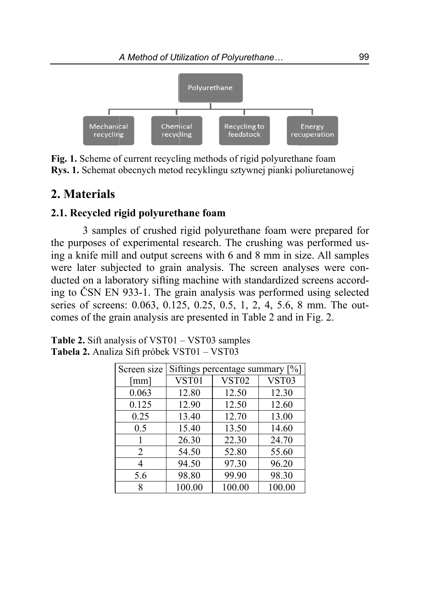

Fig. 1. Scheme of current recycling methods of rigid polyurethane foam **Rys. 1.** Schemat obecnych metod recyklingu sztywnej pianki poliuretanowej

# 2. Materials

#### 2.1. Recycled rigid polyurethane foam

3 samples of crushed rigid polyurethane foam were prepared for the purposes of experimental research. The crushing was performed using a knife mill and output screens with 6 and 8 mm in size. All samples were later subjected to grain analysis. The screen analyses were conducted on a laboratory sifting machine with standardized screens according to ČSN EN 933-1. The grain analysis was performed using selected series of screens: 0.063, 0.125, 0.25, 0.5, 1, 2, 4, 5.6, 8 mm. The outcomes of the grain analysis are presented in Table 2 and in Fig. 2.

| Screen size          |        | Siftings percentage summary [%] |        |
|----------------------|--------|---------------------------------|--------|
| $\lceil$ mm $\rceil$ | VST01  | <b>VST02</b>                    | VST03  |
| 0.063                | 12.80  | 12.50                           | 12.30  |
| 0.125                | 12.90  | 12.50                           | 12.60  |
| 0.25                 | 13.40  | 12.70                           | 13.00  |
| 0.5                  | 15.40  | 13.50                           | 14.60  |
|                      | 26.30  | 22.30                           | 24.70  |
| 2                    | 54.50  | 52.80                           | 55.60  |
| 4                    | 94.50  | 97.30                           | 96.20  |
| 5.6                  | 98.80  | 99.90                           | 98.30  |
|                      | 100.00 | 100.00                          | 100.00 |

**Table 2.** Sift analysis of VST01 – VST03 samples Tabela 2. Analiza Sift próbek VST01 – VST03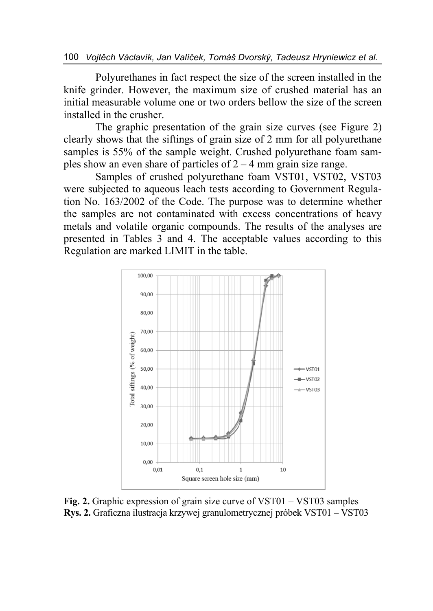Polyurethanes in fact respect the size of the screen installed in the knife grinder. However, the maximum size of crushed material has an initial measurable volume one or two orders bellow the size of the screen installed in the crusher.

The graphic presentation of the grain size curves (see Figure 2) clearly shows that the siftings of grain size of 2 mm for all polyurethane samples is 55% of the sample weight. Crushed polyurethane foam samples show an even share of particles of  $2 - 4$  mm grain size range.

Samples of crushed polyurethane foam VST01, VST02, VST03 were subjected to aqueous leach tests according to Government Regulation No. 163/2002 of the Code. The purpose was to determine whether the samples are not contaminated with excess concentrations of heavy metals and volatile organic compounds. The results of the analyses are presented in Tables 3 and 4. The acceptable values according to this Regulation are marked LIMIT in the table.



Fig. 2. Graphic expression of grain size curve of  $VST01 - VST03$  samples Rys. 2. Graficzna ilustracja krzywej granulometrycznej próbek VST01 – VST03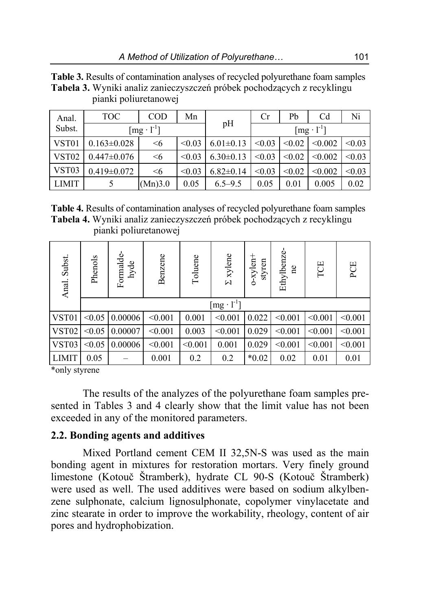|                   | $\mu$ anki politaretano $\mathbf{v}$ e |            |        |                 |        |        |                                        |        |
|-------------------|----------------------------------------|------------|--------|-----------------|--------|--------|----------------------------------------|--------|
| Anal.             | TOC                                    | <b>COD</b> | Mn     |                 | Cr     | Pb     | C <sub>d</sub>                         | Ni     |
| Subst.            | $\lceil \text{mg} \cdot 1^{-1} \rceil$ |            |        | pH              |        |        | $\lceil \text{mg} \cdot 1^{-1} \rceil$ |        |
| VST <sub>01</sub> | $0.163 \pm 0.028$                      | $\leq 6$   | < 0.03 | $6.01 \pm 0.13$ | < 0.03 | < 0.02 | < 0.002                                | < 0.03 |
| VST <sub>02</sub> | $0.447 \pm 0.076$                      | $\leq 6$   | < 0.03 | $6.30\pm0.13$   | < 0.03 | < 0.02 | < 0.002                                | < 0.03 |
| VST03             | $0.419 \pm 0.072$                      | $\leq 6$   | < 0.03 | $6.82 \pm 0.14$ | < 0.03 | < 0.02 | < 0.002                                | < 0.03 |
| <b>LIMIT</b>      |                                        | (Mn)3.0    | 0.05   | $6.5 - 9.5$     | 0.05   | 0.01   | 0.005                                  | 0.02   |

**Table 3.** Results of contamination analyses of recycled polyurethane foam samples **Tabela 3.** Wyniki analiz zanieczyszczeń próbek pochodzących z recyklingu pianki poliuretanowej

**Table 4.** Results of contamination analyses of recycled polyurethane foam samples **Tabela 4.** Wyniki analiz zanieczyszczeń próbek pochodzących z recyklingu pianki poliuretanowej

| Anal. Subst.      | Phenols             | Formalde-<br>hyde | Benzene | Toluene | $\Sigma$ xylene | $o$ -xylen+<br>styren | Ethylbenze-<br>e | TOE     | PCE     |
|-------------------|---------------------|-------------------|---------|---------|-----------------|-----------------------|------------------|---------|---------|
|                   | $[mg \cdot l^{-1}]$ |                   |         |         |                 |                       |                  |         |         |
| VST01             | < 0.05              | 0.00006           | < 0.001 | 0.001   | < 0.001         | 0.022                 | < 0.001          | < 0.001 | < 0.001 |
| VST <sub>02</sub> | < 0.05              | 0.00007           | < 0.001 | 0.003   | < 0.001         | 0.029                 | < 0.001          | < 0.001 | < 0.001 |
| VST03             | < 0.05              | 0.00006           | < 0.001 | < 0.001 | 0.001           | 0.029                 | < 0.001          | < 0.001 | < 0.001 |
| <b>LIMIT</b>      | 0.05                |                   | 0.001   | 0.2     | 0.2             | $*0.02$               | 0.02             | 0.01    | 0.01    |

\*only styrene

The results of the analyzes of the polyurethane foam samples presented in Tables 3 and 4 clearly show that the limit value has not been exceeded in any of the monitored parameters.

#### **2.2. Bonding agents and additives**

Mixed Portland cement CEM II 32,5N-S was used as the main bonding agent in mixtures for restoration mortars. Very finely ground limestone (Kotouč Štramberk), hydrate CL 90-S (Kotouč Štramberk) were used as well. The used additives were based on sodium alkylbenzene sulphonate, calcium lignosulphonate, copolymer vinylacetate and zinc stearate in order to improve the workability, rheology, content of air pores and hydrophobization.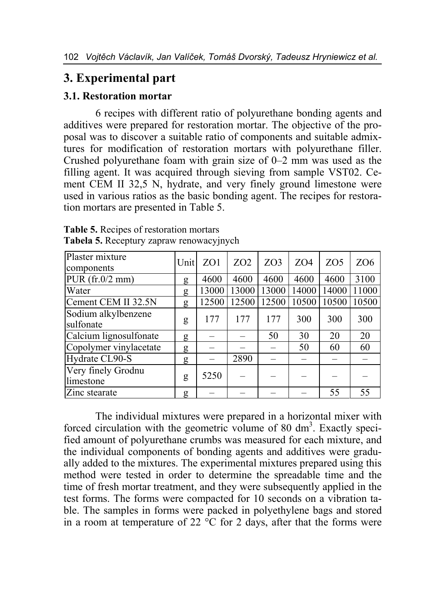# **3. Experimental part**

### **3.1. Restoration mortar**

6 recipes with different ratio of polyurethane bonding agents and additives were prepared for restoration mortar. The objective of the proposal was to discover a suitable ratio of components and suitable admixtures for modification of restoration mortars with polyurethane filler. Crushed polyurethane foam with grain size of 0–2 mm was used as the filling agent. It was acquired through sieving from sample VST02. Cement CEM II 32,5 N, hydrate, and very finely ground limestone were used in various ratios as the basic bonding agent. The recipes for restoration mortars are presented in Table 5.

| Plaster mixture                  | Unit | ZO1   | ZO <sub>2</sub> | ZO <sub>3</sub> | ZO <sub>4</sub> | ZO <sub>5</sub> | ZO <sub>6</sub> |
|----------------------------------|------|-------|-----------------|-----------------|-----------------|-----------------|-----------------|
| components                       |      |       |                 |                 |                 |                 |                 |
| $PUR$ (fr.0/2 mm)                | g    | 4600  | 4600            | 4600            | 4600            | 4600            | 3100            |
| Water                            | g    | 13000 | 13000           | 13000           | 14000           | 14000           | 11000           |
| Cement CEM II 32.5N              | g    | 12500 | 12500           | 12500           | 10500           | 10500           | 10500           |
| Sodium alkylbenzene<br>sulfonate | g    | 177   | 177             | 177             | 300             | 300             | 300             |
| Calcium lignosulfonate           | g    |       |                 | 50              | 30              | 20              | 20              |
| Copolymer vinylacetate           | g    |       |                 |                 | 50              | 60              | 60              |
| Hydrate CL90-S                   | g    |       | 2890            |                 |                 |                 |                 |
| Very finely Grodnu               |      | 5250  |                 |                 |                 |                 |                 |
| limestone                        | g    |       |                 |                 |                 |                 |                 |
| Zinc stearate                    | g    |       |                 |                 |                 | 55              | 55              |

**Table 5.** Recipes of restoration mortars **Tabela 5.** Receptury zapraw renowacyjnych

The individual mixtures were prepared in a horizontal mixer with forced circulation with the geometric volume of 80  $dm<sup>3</sup>$ . Exactly specified amount of polyurethane crumbs was measured for each mixture, and the individual components of bonding agents and additives were gradually added to the mixtures. The experimental mixtures prepared using this method were tested in order to determine the spreadable time and the time of fresh mortar treatment, and they were subsequently applied in the test forms. The forms were compacted for 10 seconds on a vibration table. The samples in forms were packed in polyethylene bags and stored in a room at temperature of 22  $\degree$ C for 2 days, after that the forms were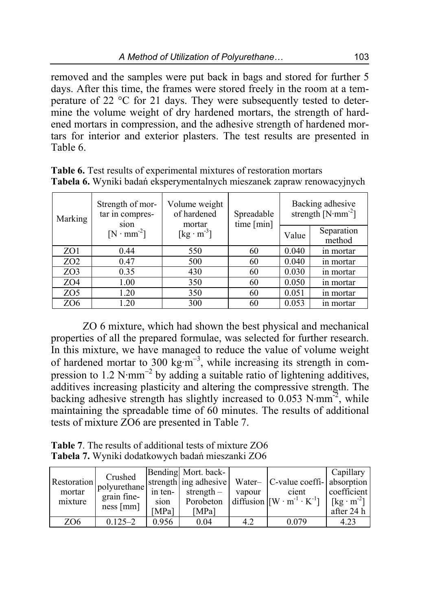removed and the samples were put back in bags and stored for further 5 days. After this time, the frames were stored freely in the room at a temperature of 22 °C for 21 days. They were subsequently tested to determine the volume weight of dry hardened mortars, the strength of hardened mortars in compression, and the adhesive strength of hardened mortars for interior and exterior plasters. The test results are presented in Table 6.

| Marking         | Strength of mor-<br>Volume weight<br>of hardened<br>tar in compres-<br>sion<br>mortar |                                           | Spreadable<br>time [min] |       | Backing adhesive<br>strength $[N·mm^{-2}]$ |
|-----------------|---------------------------------------------------------------------------------------|-------------------------------------------|--------------------------|-------|--------------------------------------------|
|                 | $[N \cdot mm^{-2}]$                                                                   | $\left[\text{kg}\cdot\text{m}^{3}\right]$ |                          | Value | Separation<br>method                       |
| ZO1             | 0.44                                                                                  | 550                                       | 60                       | 0.040 | in mortar                                  |
| ZO <sub>2</sub> | 0.47                                                                                  | 500                                       | 60                       | 0.040 | in mortar                                  |
| ZO <sub>3</sub> | 0.35                                                                                  | 430                                       | 60                       | 0.030 | in mortar                                  |
| ZO <sub>4</sub> | 1.00                                                                                  | 350                                       | 60                       | 0.050 | in mortar                                  |
| ZO <sub>5</sub> | 1.20                                                                                  | 350                                       | 60                       | 0.051 | in mortar                                  |
| ZO <sub>6</sub> | 1.20                                                                                  | 300                                       | 60                       | 0.053 | in mortar                                  |

**Table 6.** Test results of experimental mixtures of restoration mortars **Tabela 6.** Wyniki badań eksperymentalnych mieszanek zapraw renowacyjnych

ZO 6 mixture, which had shown the best physical and mechanical properties of all the prepared formulae, was selected for further research. In this mixture, we have managed to reduce the value of volume weight of hardened mortar to 300 kg⋅m<sup>-3</sup>, while increasing its strength in compression to 1.2 N·mm<sup>-2</sup> by adding a suitable ratio of lightening additives, additives increasing plasticity and altering the compressive strength. The backing adhesive strength has slightly increased to 0.053 N·mm<sup>-2</sup>, while maintaining the spreadable time of 60 minutes. The results of additional tests of mixture ZO6 are presented in Table 7.

**Table 7**. The results of additional tests of mixture ZO6 **Tabela 7.** Wyniki dodatkowych badań mieszanki ZO6

|                 | Crushed                    |         | Bending Mort. back- |        |                                                                       | Capillary                                                |
|-----------------|----------------------------|---------|---------------------|--------|-----------------------------------------------------------------------|----------------------------------------------------------|
|                 | Restoration   polyurethane |         |                     |        | strength ing adhesive   Water-   C-value coeffi-   absorption         |                                                          |
| mortar          | grain fine-                | in ten- | strength $-$        | vapour | cient                                                                 | coefficient                                              |
| mixture         | ness[mm]                   | sion    | Porobeton           |        | diffusion $\left  \left[ W \cdot m^{-1} \cdot K^{-1} \right] \right $ | $\lceil \lceil \text{kg} \cdot \text{m}^2 \rceil \rceil$ |
|                 |                            | [MPa]   | [MPa]               |        |                                                                       | after $24 h$                                             |
| ZO <sub>6</sub> | $0.125 - 2$                | 0.956   | 0.04                | 4.2    | 0.079                                                                 | 4.23                                                     |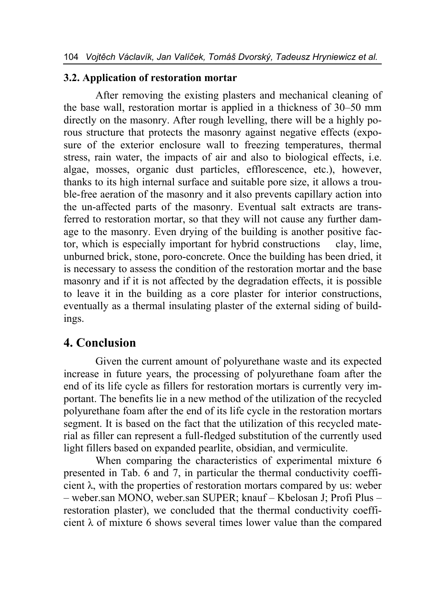#### **3.2. Application of restoration mortar**

After removing the existing plasters and mechanical cleaning of the base wall, restoration mortar is applied in a thickness of 30–50 mm directly on the masonry. After rough levelling, there will be a highly porous structure that protects the masonry against negative effects (exposure of the exterior enclosure wall to freezing temperatures, thermal stress, rain water, the impacts of air and also to biological effects, i.e. algae, mosses, organic dust particles, efflorescence, etc.), however, thanks to its high internal surface and suitable pore size, it allows a trouble-free aeration of the masonry and it also prevents capillary action into the un-affected parts of the masonry. Eventual salt extracts are transferred to restoration mortar, so that they will not cause any further damage to the masonry. Even drying of the building is another positive factor, which is especially important for hybrid constructions clay, lime, unburned brick, stone, poro-concrete. Once the building has been dried, it is necessary to assess the condition of the restoration mortar and the base masonry and if it is not affected by the degradation effects, it is possible to leave it in the building as a core plaster for interior constructions, eventually as a thermal insulating plaster of the external siding of buildings.

# **4. Conclusion**

Given the current amount of polyurethane waste and its expected increase in future years, the processing of polyurethane foam after the end of its life cycle as fillers for restoration mortars is currently very important. The benefits lie in a new method of the utilization of the recycled polyurethane foam after the end of its life cycle in the restoration mortars segment. It is based on the fact that the utilization of this recycled material as filler can represent a full-fledged substitution of the currently used light fillers based on expanded pearlite, obsidian, and vermiculite.

When comparing the characteristics of experimental mixture 6 presented in Tab. 6 and 7, in particular the thermal conductivity coefficient  $\lambda$ , with the properties of restoration mortars compared by us: weber – weber.san MONO, weber.san SUPER; knauf – Kbelosan J; Profi Plus – restoration plaster), we concluded that the thermal conductivity coefficient  $\lambda$  of mixture 6 shows several times lower value than the compared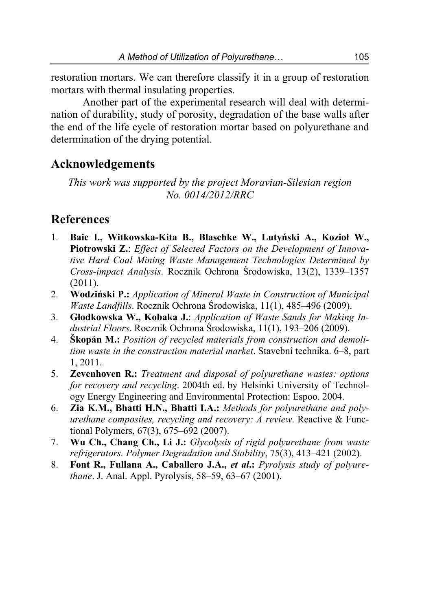restoration mortars. We can therefore classify it in a group of restoration mortars with thermal insulating properties.

Another part of the experimental research will deal with determination of durability, study of porosity, degradation of the base walls after the end of the life cycle of restoration mortar based on polyurethane and determination of the drying potential.

### **Acknowledgements**

*This work was supported by the project Moravian-Silesian region No. 0014/2012/RRC* 

### **References**

- 1. **Baic I., Witkowska-Kita B., Blaschke W., Lutyński A., Kozioł W., Piotrowski Z.**: *Effect of Selected Factors on the Development of Innovative Hard Coal Mining Waste Management Technologies Determined by Cross-impact Analysis*. Rocznik Ochrona Środowiska, 13(2), 1339–1357 (2011).
- 2. **Wodziński P.:** *Application of Mineral Waste in Construction of Municipal Waste Landfills*. Rocznik Ochrona Środowiska, 11(1), 485–496 (2009).
- 3. **Głodkowska W., Kobaka J.**: *Application of Waste Sands for Making Industrial Floors*. Rocznik Ochrona Środowiska, 11(1), 193–206 (2009).
- 4. **Škopán M.:** *Position of recycled materials from construction and demolition waste in the construction material market*. Stavební technika. 6–8, part 1, 2011.
- 5. **Zevenhoven R.:** *Treatment and disposal of polyurethane wastes: options for recovery and recycling*. 2004th ed. by Helsinki University of Technology Energy Engineering and Environmental Protection: Espoo. 2004.
- 6. **Zia K.M., Bhatti H.N., Bhatti I.A.:** *Methods for polyurethane and polyurethane composites, recycling and recovery: A review*. Reactive & Functional Polymers, 67(3), 675–692 (2007).
- 7. **Wu Ch., Chang Ch., Li J.:** *Glycolysis of rigid polyurethane from waste refrigerators. Polymer Degradation and Stability*, 75(3), 413–421 (2002).
- 8. **Font R., Fullana A., Caballero J.A.,** *et al***.:** *Pyrolysis study of polyurethane*. J. Anal. Appl. Pyrolysis, 58–59, 63–67 (2001).